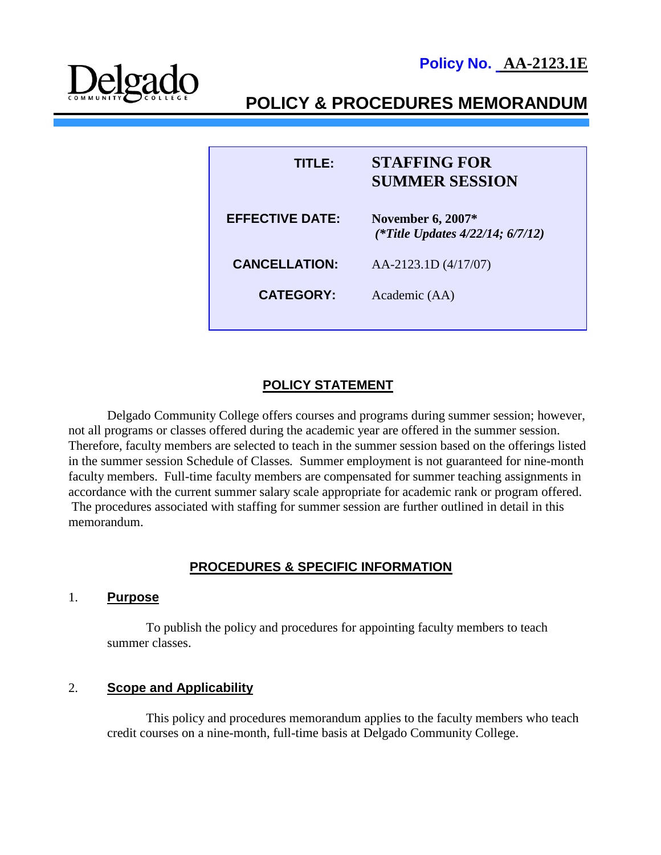**Policy No. AA-2123.1E**



# **POLICY & PROCEDURES MEMORANDUM**

| TITI EA                | <b>STAFFING FOR</b><br><b>SUMMER SESSION</b>                       |
|------------------------|--------------------------------------------------------------------|
| <b>EFFECTIVE DATE:</b> | <b>November 6, 2007*</b><br>(*Title Updates $4/22/14$ ; $6/7/12$ ) |
| <b>CANCELLATION:</b>   | $AA-2123.1D(4/17/07)$                                              |
| <b>CATEGORY:</b>       | Academic (AA)                                                      |
|                        |                                                                    |

# **POLICY STATEMENT**

Delgado Community College offers courses and programs during summer session; however, not all programs or classes offered during the academic year are offered in the summer session. Therefore, faculty members are selected to teach in the summer session based on the offerings listed in the summer session Schedule of Classes*.* Summer employment is not guaranteed for nine-month faculty members. Full-time faculty members are compensated for summer teaching assignments in accordance with the current summer salary scale appropriate for academic rank or program offered. The procedures associated with staffing for summer session are further outlined in detail in this memorandum.

# **PROCEDURES & SPECIFIC INFORMATION**

#### 1. **Purpose**

To publish the policy and procedures for appointing faculty members to teach summer classes.

#### 2. **Scope and Applicability**

This policy and procedures memorandum applies to the faculty members who teach credit courses on a nine-month, full-time basis at Delgado Community College.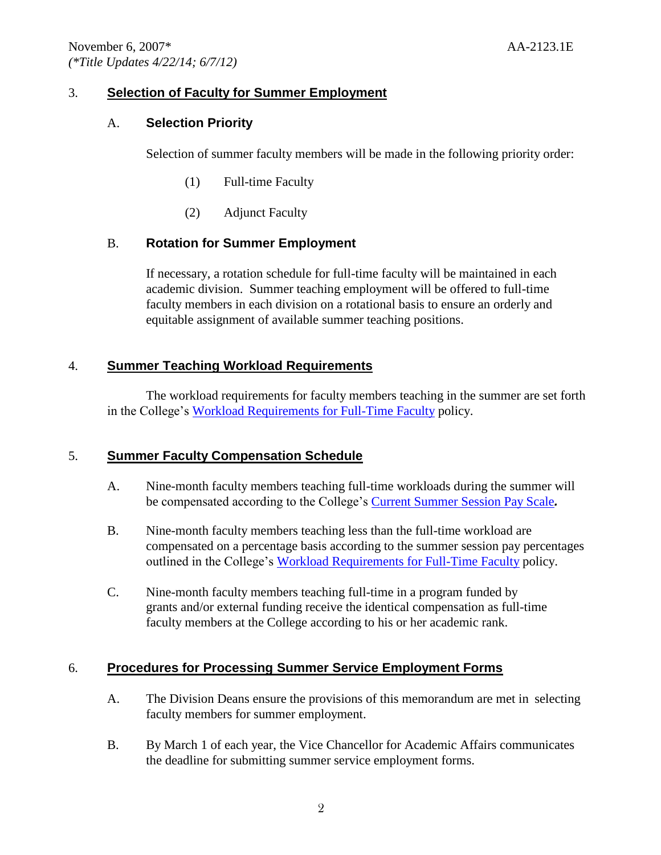# 3. **Selection of Faculty for Summer Employment**

### A. **Selection Priority**

Selection of summer faculty members will be made in the following priority order:

- (1) Full-time Faculty
- (2) Adjunct Faculty

# B. **Rotation for Summer Employment**

If necessary, a rotation schedule for full-time faculty will be maintained in each academic division. Summer teaching employment will be offered to full-time faculty members in each division on a rotational basis to ensure an orderly and equitable assignment of available summer teaching positions.

### 4. **Summer Teaching Workload Requirements**

The workload requirements for faculty members teaching in the summer are set forth in the College's [Workload Requirements for Full-Time Faculty](http://docushare3.dcc.edu/docushare/dsweb/Get/Document-1538/2122-2C.doc) policy.

# 5. **Summer Faculty Compensation Schedule**

- A. Nine-month faculty members teaching full-time workloads during the summer will be compensated according to the College's [Current Summer Session Pay Scale](http://docushare3.dcc.edu/docushare/dsweb/Get/Document-2716/AA+Summer+Pay+Schedule.doc)*.*
- B. Nine-month faculty members teaching less than the full-time workload are compensated on a percentage basis according to the summer session pay percentages outlined in the College's [Workload Requirements for Full-Time Faculty](http://docushare3.dcc.edu/docushare/dsweb/Get/Document-1538/2122-2C.doc) policy.
- C. Nine-month faculty members teaching full-time in a program funded by grants and/or external funding receive the identical compensation as full-time faculty members at the College according to his or her academic rank.

# 6. **Procedures for Processing Summer Service Employment Forms**

- A. The Division Deans ensure the provisions of this memorandum are met in selecting faculty members for summer employment.
- B. By March 1 of each year, the Vice Chancellor for Academic Affairs communicates the deadline for submitting summer service employment forms.